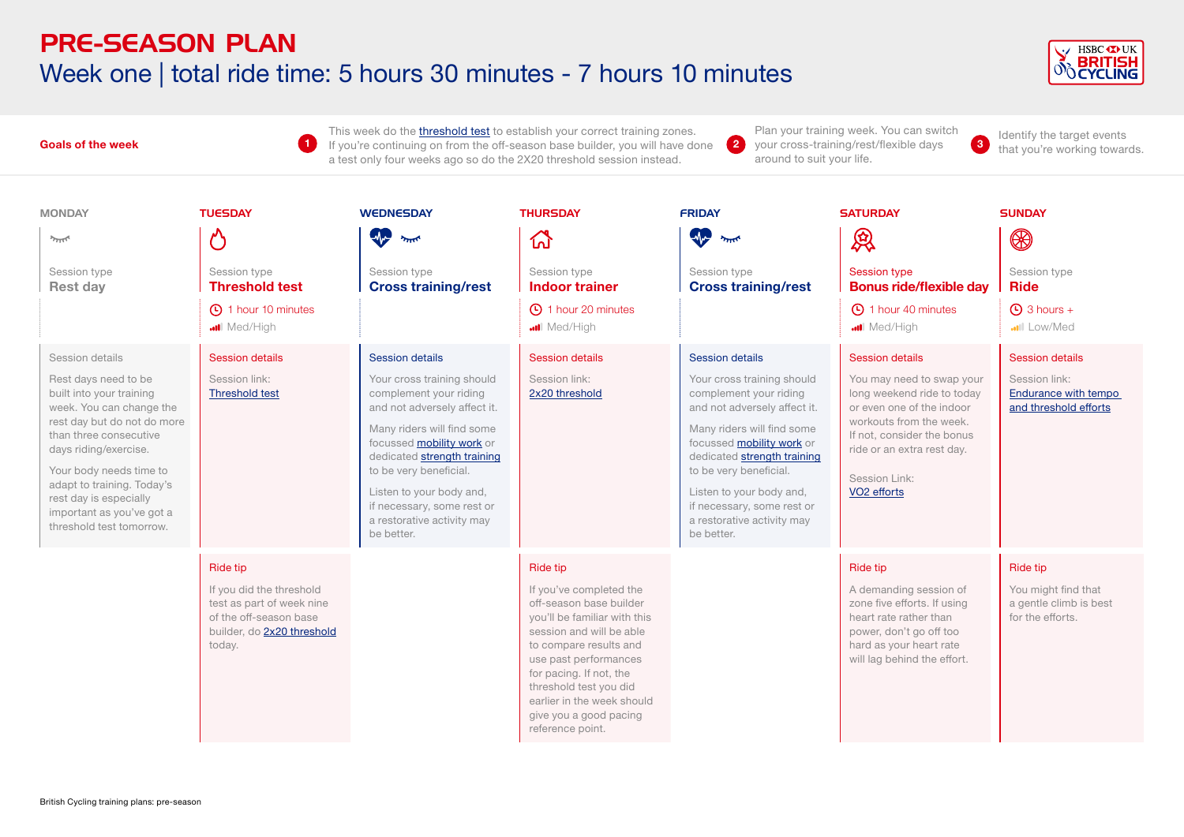# PRE-SEASON PLAN Week one | total ride time: 5 hours 30 minutes - 7 hours 10 minutes

**1**



#### **Goals of the week**

This week do the *t[hreshold test](https://www.britishcycling.org.uk/zuvvi/media/bc_files/sportivetrainingplans/THRESHOLD_TEST.pdf)* to establish your correct training zones. If you're continuing on from the off-season base builder, you will have done a test only four weeks ago so do the 2X20 threshold session instead.

Plan your training week. You can switch **2** I can your cross-training week. Four early switch and dentity the target events your cross-training/rest/flexible days around to suit your life.

**3** that you're working towards.

| <b>MONDAY</b>                                                                                                                                                                                                                                                                                                                 | <b>TUESDAY</b>                                                                                                                             | <b>WEDNESDAY</b>                                                                                                                                                                                                                                                                                                                         | <b>THURSDAY</b>                                                                                                                                                                                                                                                                                                | <b>FRIDAY</b>                                                                                                                                                                                                                                                                                                                                   | <b>SATURDAY</b>                                                                                                                                                                                                                                   | <b>SUNDAY</b>                                                                                   |
|-------------------------------------------------------------------------------------------------------------------------------------------------------------------------------------------------------------------------------------------------------------------------------------------------------------------------------|--------------------------------------------------------------------------------------------------------------------------------------------|------------------------------------------------------------------------------------------------------------------------------------------------------------------------------------------------------------------------------------------------------------------------------------------------------------------------------------------|----------------------------------------------------------------------------------------------------------------------------------------------------------------------------------------------------------------------------------------------------------------------------------------------------------------|-------------------------------------------------------------------------------------------------------------------------------------------------------------------------------------------------------------------------------------------------------------------------------------------------------------------------------------------------|---------------------------------------------------------------------------------------------------------------------------------------------------------------------------------------------------------------------------------------------------|-------------------------------------------------------------------------------------------------|
| $2\pi$                                                                                                                                                                                                                                                                                                                        | Ŷ                                                                                                                                          | W<br>يمللن                                                                                                                                                                                                                                                                                                                               | 깑                                                                                                                                                                                                                                                                                                              | <b>W</b><br>يمللن                                                                                                                                                                                                                                                                                                                               | 凤                                                                                                                                                                                                                                                 | $\circledR$                                                                                     |
| Session type<br><b>Rest day</b>                                                                                                                                                                                                                                                                                               | Session type<br><b>Threshold test</b>                                                                                                      | Session type<br><b>Cross training/rest</b>                                                                                                                                                                                                                                                                                               | Session type<br><b>Indoor trainer</b>                                                                                                                                                                                                                                                                          | Session type<br><b>Cross training/rest</b>                                                                                                                                                                                                                                                                                                      | <b>Session type</b><br><b>Bonus ride/flexible day</b>                                                                                                                                                                                             | Session type<br><b>Ride</b>                                                                     |
|                                                                                                                                                                                                                                                                                                                               | 1 hour 10 minutes<br>Med/High                                                                                                              |                                                                                                                                                                                                                                                                                                                                          | 4 1 hour 20 minutes<br>Med/High                                                                                                                                                                                                                                                                                |                                                                                                                                                                                                                                                                                                                                                 | <b>40</b> 1 hour 40 minutes<br>Med/High                                                                                                                                                                                                           | $\bigcirc$ 3 hours +<br><b></b> III Low/Med                                                     |
| Session details<br>Rest days need to be<br>built into your training<br>week. You can change the<br>rest day but do not do more<br>than three consecutive<br>days riding/exercise.<br>Your body needs time to<br>adapt to training. Today's<br>rest day is especially<br>important as you've got a<br>threshold test tomorrow. | <b>Session details</b><br>Session link:<br><b>Threshold test</b>                                                                           | <b>Session details</b><br>Your cross training should<br>complement your riding<br>and not adversely affect it.<br>Many riders will find some<br>focussed mobility work or<br>dedicated strength training<br>to be very beneficial.<br>Listen to your body and,<br>if necessary, some rest or<br>a restorative activity may<br>be better. | <b>Session details</b><br>Session link:<br>2x20 threshold                                                                                                                                                                                                                                                      | <b>Session details</b><br>Your cross training should<br>complement your riding<br>and not adversely affect it.<br>Many riders will find some<br>focussed <b>mobility work</b> or<br>dedicated strength training<br>to be very beneficial.<br>Listen to your body and,<br>if necessary, some rest or<br>a restorative activity may<br>be better. | <b>Session details</b><br>You may need to swap your<br>long weekend ride to today<br>or even one of the indoor<br>workouts from the week.<br>If not, consider the bonus<br>ride or an extra rest day.<br>Session Link:<br>VO <sub>2</sub> efforts | <b>Session details</b><br>Session link:<br><b>Endurance with tempo</b><br>and threshold efforts |
|                                                                                                                                                                                                                                                                                                                               | <b>Ride tip</b><br>If you did the threshold<br>test as part of week nine<br>of the off-season base<br>builder, do 2x20 threshold<br>today. |                                                                                                                                                                                                                                                                                                                                          | Ride tip<br>If you've completed the<br>off-season base builder<br>vou'll be familiar with this<br>session and will be able<br>to compare results and<br>use past performances<br>for pacing. If not, the<br>threshold test you did<br>earlier in the week should<br>give you a good pacing<br>reference point. |                                                                                                                                                                                                                                                                                                                                                 | <b>Ride tip</b><br>A demanding session of<br>zone five efforts. If using<br>heart rate rather than<br>power, don't go off too<br>hard as your heart rate<br>will lag behind the effort.                                                           | Ride tip<br>You might find that<br>a gentle climb is best<br>for the efforts.                   |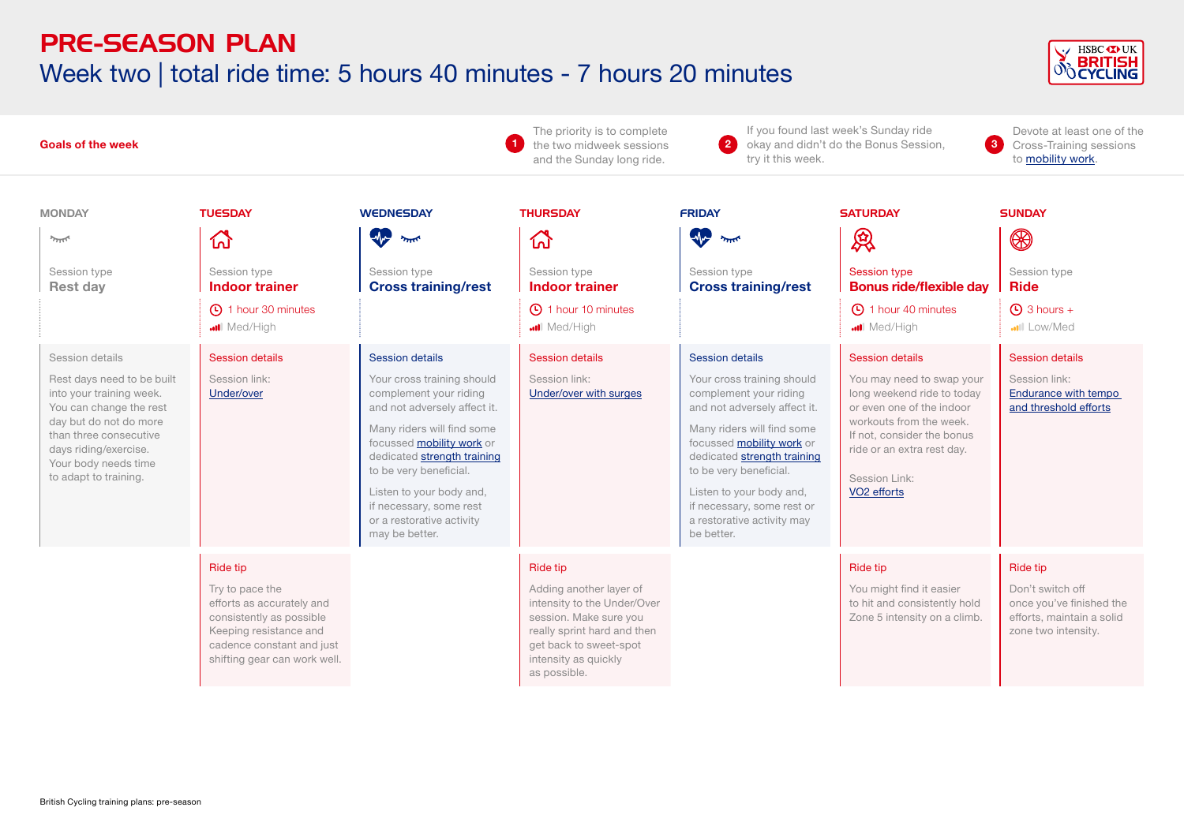### PRE-SEASON PLAN Week two | total ride time: 5 hours 40 minutes - 7 hours 20 minutes



| <b>Goals of the week</b>                                                                                                                                                                                                           |                                                                                                                                                                             |                                                                                                                                                                                                                                                                                                                                                 | The priority is to complete<br>the two midweek sessions<br>and the Sunday long ride.                                                                                                          | If you found last week's Sunday ride<br>$\overline{\mathbf{2}}$<br>$\bullet$<br>okay and didn't do the Bonus Session,<br>trv it this week.                                                                                                                                                                                               |                                                                                                                                                                                                                                                   | Devote at least one of the<br>Cross-Training sessions<br>to mobility work.                                   |
|------------------------------------------------------------------------------------------------------------------------------------------------------------------------------------------------------------------------------------|-----------------------------------------------------------------------------------------------------------------------------------------------------------------------------|-------------------------------------------------------------------------------------------------------------------------------------------------------------------------------------------------------------------------------------------------------------------------------------------------------------------------------------------------|-----------------------------------------------------------------------------------------------------------------------------------------------------------------------------------------------|------------------------------------------------------------------------------------------------------------------------------------------------------------------------------------------------------------------------------------------------------------------------------------------------------------------------------------------|---------------------------------------------------------------------------------------------------------------------------------------------------------------------------------------------------------------------------------------------------|--------------------------------------------------------------------------------------------------------------|
| <b>MONDAY</b><br>يمللو<br>Session type<br><b>Rest day</b>                                                                                                                                                                          | <b>TUESDAY</b><br>砎<br>Session type<br><b>Indoor trainer</b><br>1 hour 30 minutes<br><b>all</b> Med/High                                                                    | <b>WEDNESDAY</b><br>$\sqrt{2}$<br>يمللن<br>Session type<br><b>Cross training/rest</b>                                                                                                                                                                                                                                                           | <b>THURSDAY</b><br>杰<br>Session type<br><b>Indoor trainer</b><br><b>C</b> 1 hour 10 minutes<br><b></b> Med/High                                                                               | <b>FRIDAY</b><br><b>AV</b><br>يمللو<br>Session type<br><b>Cross training/rest</b>                                                                                                                                                                                                                                                        | <b>SATURDAY</b><br>恩<br><b>Session type</b><br><b>Bonus ride/flexible day</b><br><b>40 minutes</b><br>Med/High                                                                                                                                    | <b>SUNDAY</b><br>❀<br>Session type<br><b>Ride</b><br>$\bigoplus$ 3 hours +<br>.ull Low/Med                   |
| Session details<br>Rest days need to be built<br>into your training week.<br>You can change the rest<br>day but do not do more<br>than three consecutive<br>days riding/exercise.<br>Your body needs time<br>to adapt to training. | <b>Session details</b><br>Session link:<br>Under/over                                                                                                                       | <b>Session details</b><br>Your cross training should<br>complement your riding<br>and not adversely affect it.<br>Many riders will find some<br>focussed <b>mobility work</b> or<br>dedicated strength training<br>to be very beneficial.<br>Listen to your body and,<br>if necessary, some rest<br>or a restorative activity<br>may be better. | <b>Session details</b><br>Session link:<br>Under/over with surges                                                                                                                             | <b>Session details</b><br>Your cross training should<br>complement your riding<br>and not adversely affect it.<br>Many riders will find some<br>focussed mobility work or<br>dedicated strength training<br>to be very beneficial.<br>Listen to your body and,<br>if necessary, some rest or<br>a restorative activity may<br>be better. | <b>Session details</b><br>You may need to swap your<br>long weekend ride to today<br>or even one of the indoor<br>workouts from the week.<br>If not, consider the bonus<br>ride or an extra rest day.<br>Session Link:<br>VO <sub>2</sub> efforts | <b>Session details</b><br>Session link:<br>Endurance with tempo<br>and threshold efforts                     |
|                                                                                                                                                                                                                                    | Ride tip<br>Try to pace the<br>efforts as accurately and<br>consistently as possible<br>Keeping resistance and<br>cadence constant and just<br>shifting gear can work well. |                                                                                                                                                                                                                                                                                                                                                 | Ride tip<br>Adding another layer of<br>intensity to the Under/Over<br>session. Make sure you<br>really sprint hard and then<br>get back to sweet-spot<br>intensity as quickly<br>as possible. |                                                                                                                                                                                                                                                                                                                                          | <b>Ride tip</b><br>You might find it easier<br>to hit and consistently hold<br>Zone 5 intensity on a climb.                                                                                                                                       | Ride tip<br>Don't switch off<br>once you've finished the<br>efforts, maintain a solid<br>zone two intensity. |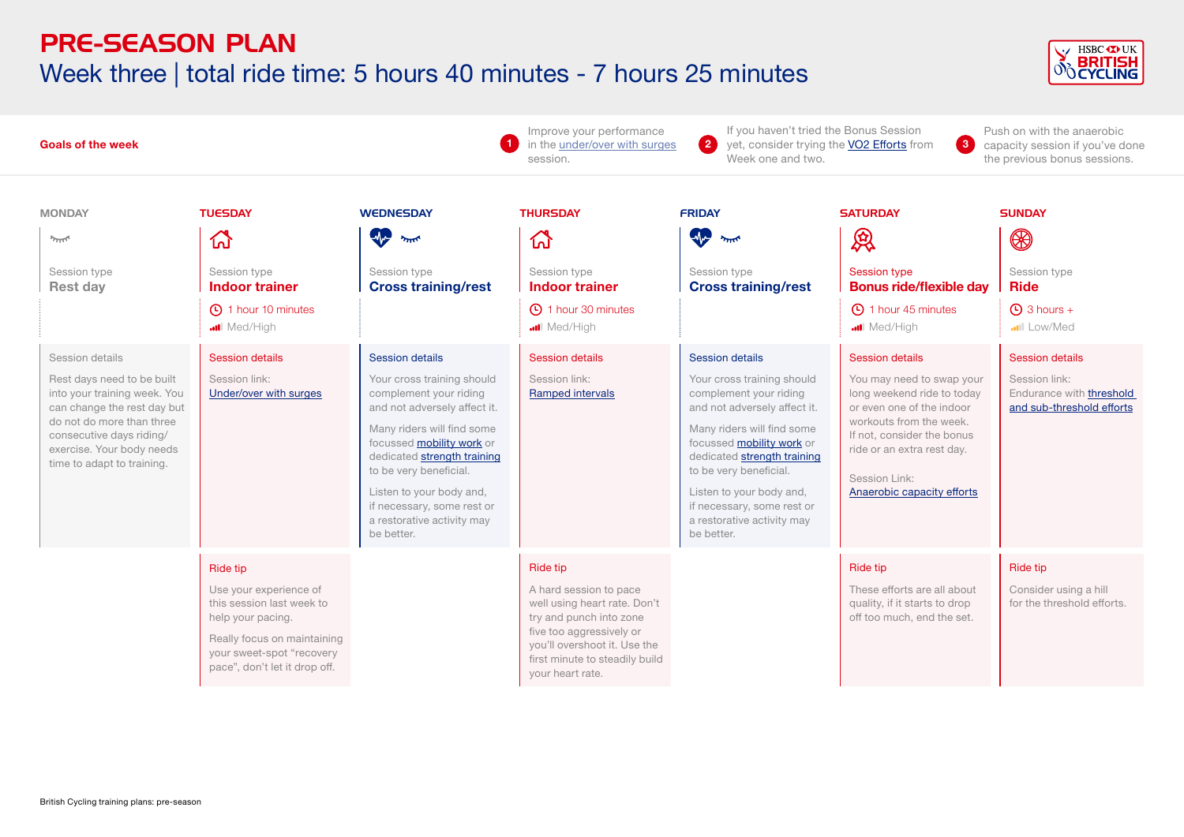#### PRE-SEASON PLAN Week three | total ride time: 5 hours 40 minutes - 7 hours 25 minutes



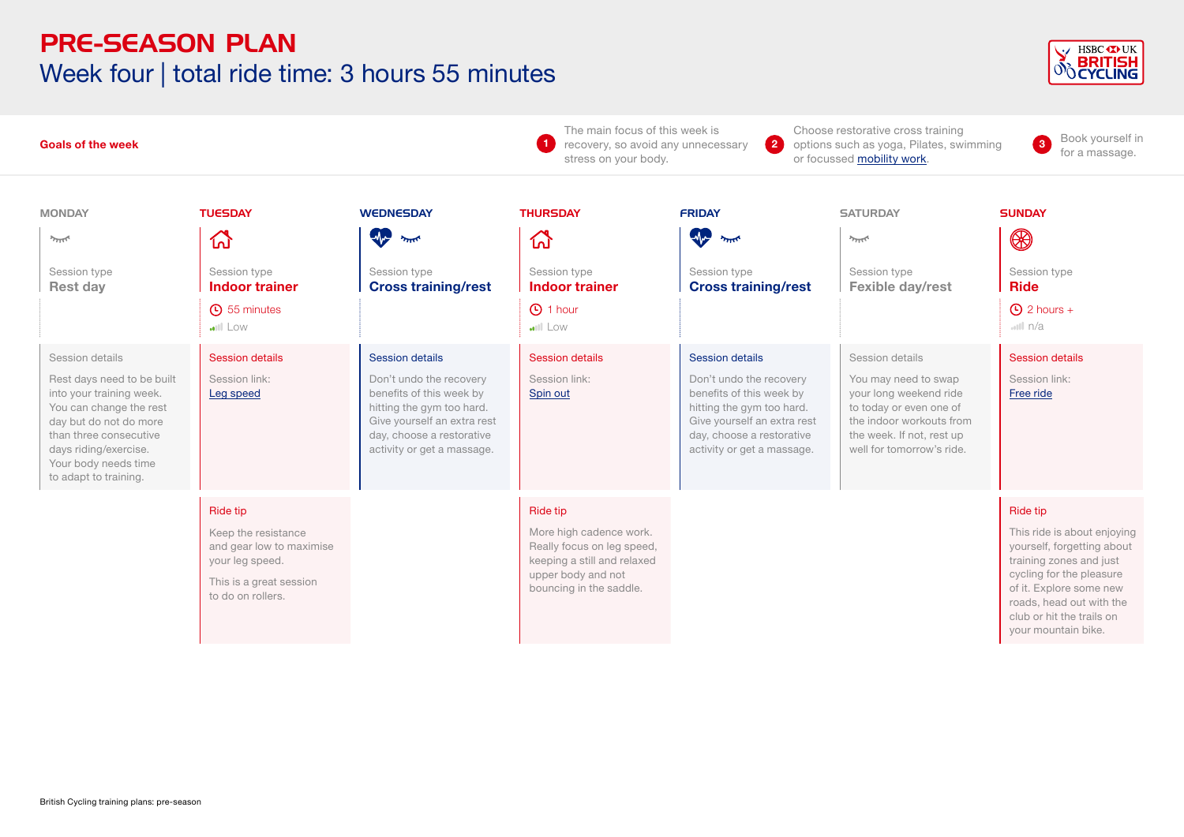### PRE-SEASON PLAN Week four | total ride time: 3 hours 55 minutes



| <b>Goals of the week</b>                                                                                                                                                                                                           |                                                                                                                                       |                                                                                                                                                                                                      | The main focus of this week is<br>Choose restorative cross training<br>$\left( 2\right)$<br>$\blacktriangleleft$<br>recovery, so avoid any unnecessary<br>options such as yoga, Pilates, swimming<br>stress on your body.<br>or focussed mobility work. |                                                                                                                                                                                                      |                                                                                                                                                                                    | Book yourself in<br>$\mathbf{3}$<br>for a massage.                                                                                                                                                                                      |
|------------------------------------------------------------------------------------------------------------------------------------------------------------------------------------------------------------------------------------|---------------------------------------------------------------------------------------------------------------------------------------|------------------------------------------------------------------------------------------------------------------------------------------------------------------------------------------------------|---------------------------------------------------------------------------------------------------------------------------------------------------------------------------------------------------------------------------------------------------------|------------------------------------------------------------------------------------------------------------------------------------------------------------------------------------------------------|------------------------------------------------------------------------------------------------------------------------------------------------------------------------------------|-----------------------------------------------------------------------------------------------------------------------------------------------------------------------------------------------------------------------------------------|
| <b>MONDAY</b>                                                                                                                                                                                                                      | <b>TUESDAY</b>                                                                                                                        | <b>WEDNESDAY</b><br><b>AP</b><br>يمللن                                                                                                                                                               | <b>THURSDAY</b>                                                                                                                                                                                                                                         | <b>FRIDAY</b><br>W                                                                                                                                                                                   | <b>SATURDAY</b><br>$2\pi$                                                                                                                                                          | <b>SUNDAY</b>                                                                                                                                                                                                                           |
| 7.77<br>Session type<br><b>Rest day</b>                                                                                                                                                                                            | ᢙ<br>Session type<br><b>Indoor trainer</b><br><b>4</b> 55 minutes<br><b>ull</b> Low                                                   | Session type<br><b>Cross training/rest</b>                                                                                                                                                           | 산<br>Session type<br><b>Indoor trainer</b><br><b>1</b> hour<br><b>ull</b> Low                                                                                                                                                                           | يتلللا<br>Session type<br><b>Cross training/rest</b>                                                                                                                                                 | Session type<br>Fexible day/rest                                                                                                                                                   | ❀<br>Session type<br><b>Ride</b><br>$\bigoplus$ 2 hours +<br>m  n/a                                                                                                                                                                     |
| Session details<br>Rest days need to be built<br>into your training week.<br>You can change the rest<br>day but do not do more<br>than three consecutive<br>days riding/exercise.<br>Your body needs time<br>to adapt to training. | <b>Session details</b><br>Session link:<br>Leg speed                                                                                  | <b>Session details</b><br>Don't undo the recovery<br>benefits of this week by<br>hitting the gym too hard.<br>Give yourself an extra rest<br>day, choose a restorative<br>activity or get a massage. | <b>Session details</b><br>Session link:<br>Spin out                                                                                                                                                                                                     | <b>Session details</b><br>Don't undo the recovery<br>benefits of this week by<br>hitting the gym too hard.<br>Give yourself an extra rest<br>day, choose a restorative<br>activity or get a massage. | Session details<br>You may need to swap<br>your long weekend ride<br>to today or even one of<br>the indoor workouts from<br>the week. If not, rest up<br>well for tomorrow's ride. | <b>Session details</b><br>Session link:<br>Free ride                                                                                                                                                                                    |
|                                                                                                                                                                                                                                    | <b>Ride tip</b><br>Keep the resistance<br>and gear low to maximise<br>your leg speed.<br>This is a great session<br>to do on rollers. |                                                                                                                                                                                                      | Ride tip<br>More high cadence work.<br>Really focus on leg speed,<br>keeping a still and relaxed<br>upper body and not<br>bouncing in the saddle.                                                                                                       |                                                                                                                                                                                                      |                                                                                                                                                                                    | Ride tip<br>This ride is about enjoying<br>yourself, forgetting about<br>training zones and just<br>cycling for the pleasure<br>of it. Explore some new<br>roads, head out with the<br>club or hit the trails on<br>your mountain bike. |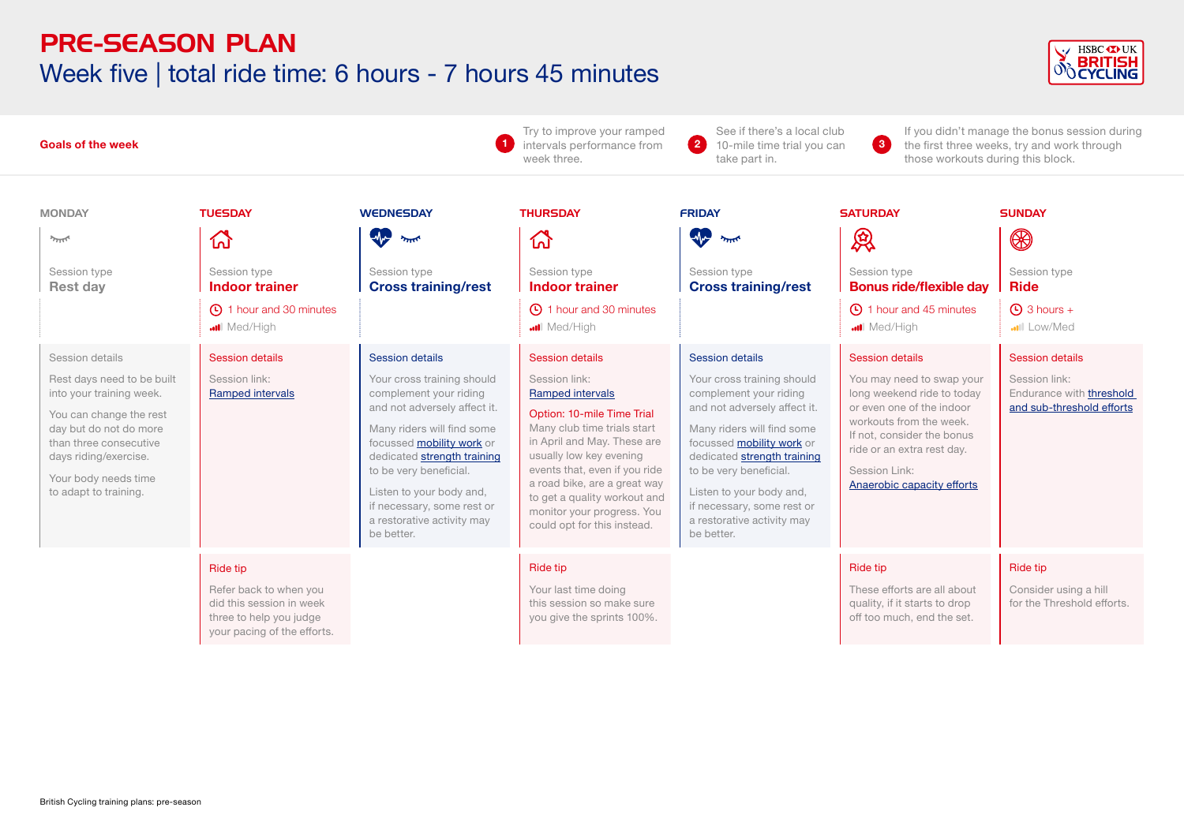### PRE-SEASON PLAN Week five | total ride time: 6 hours - 7 hours 45 minutes



| <b>Goals of the week</b> |                                                                                                                                                                                                                                    |                                                                                                                                 | Try to improve your ramped<br>intervals performance from<br>week three.                                                                                                                                                                                                                                                                  | See if there's a local club<br>$\bullet$<br>10-mile time trial you can<br>take part in.                                                                                                                                                                                                                                                                 | $\left( 3 \right)$                                                                                                                                                                                                                                                                                                                              | If you didn't manage the bonus session during<br>the first three weeks, try and work through<br>those workouts during this block.                                                                                                                    |                                                                                                  |
|--------------------------|------------------------------------------------------------------------------------------------------------------------------------------------------------------------------------------------------------------------------------|---------------------------------------------------------------------------------------------------------------------------------|------------------------------------------------------------------------------------------------------------------------------------------------------------------------------------------------------------------------------------------------------------------------------------------------------------------------------------------|---------------------------------------------------------------------------------------------------------------------------------------------------------------------------------------------------------------------------------------------------------------------------------------------------------------------------------------------------------|-------------------------------------------------------------------------------------------------------------------------------------------------------------------------------------------------------------------------------------------------------------------------------------------------------------------------------------------------|------------------------------------------------------------------------------------------------------------------------------------------------------------------------------------------------------------------------------------------------------|--------------------------------------------------------------------------------------------------|
|                          | <b>MONDAY</b>                                                                                                                                                                                                                      | <b>TUESDAY</b>                                                                                                                  | <b>WEDNESDAY</b>                                                                                                                                                                                                                                                                                                                         | <b>THURSDAY</b>                                                                                                                                                                                                                                                                                                                                         | <b>FRIDAY</b>                                                                                                                                                                                                                                                                                                                                   | <b>SATURDAY</b>                                                                                                                                                                                                                                      | <b>SUNDAY</b>                                                                                    |
|                          | يمللو                                                                                                                                                                                                                              | 岙                                                                                                                               | <b>W</b><br>يتللو                                                                                                                                                                                                                                                                                                                        | 杰                                                                                                                                                                                                                                                                                                                                                       | <b>A</b><br>يتنتز                                                                                                                                                                                                                                                                                                                               | 凤                                                                                                                                                                                                                                                    | $\circledR$                                                                                      |
|                          | Session type<br><b>Rest day</b>                                                                                                                                                                                                    | Session type<br><b>Indoor trainer</b><br>4 1 hour and 30 minutes                                                                | Session type<br><b>Cross training/rest</b>                                                                                                                                                                                                                                                                                               | Session type<br><b>Indoor trainer</b><br><b>4</b> 1 hour and 30 minutes                                                                                                                                                                                                                                                                                 | Session type<br><b>Cross training/rest</b>                                                                                                                                                                                                                                                                                                      | Session type<br><b>Bonus ride/flexible day</b><br><b>45 minutes</b>                                                                                                                                                                                  | Session type<br><b>Ride</b><br>$\bigoplus$ 3 hours +                                             |
|                          |                                                                                                                                                                                                                                    | Med/High                                                                                                                        |                                                                                                                                                                                                                                                                                                                                          | <b></b> Med/High                                                                                                                                                                                                                                                                                                                                        |                                                                                                                                                                                                                                                                                                                                                 | Med/High                                                                                                                                                                                                                                             | <b></b> Low/Med                                                                                  |
|                          | Session details<br>Rest days need to be built<br>into your training week.<br>You can change the rest<br>day but do not do more<br>than three consecutive<br>days riding/exercise.<br>Your body needs time<br>to adapt to training. | <b>Session details</b><br>Session link:<br>Ramped intervals                                                                     | <b>Session details</b><br>Your cross training should<br>complement your riding<br>and not adversely affect it.<br>Many riders will find some<br>focussed mobility work or<br>dedicated strength training<br>to be very beneficial.<br>Listen to your body and,<br>if necessary, some rest or<br>a restorative activity may<br>be better. | <b>Session details</b><br>Session link:<br><b>Ramped intervals</b><br>Option: 10-mile Time Trial<br>Many club time trials start<br>in April and May. These are<br>usually low key evening<br>events that, even if you ride<br>a road bike, are a great way<br>to get a quality workout and<br>monitor your progress. You<br>could opt for this instead. | <b>Session details</b><br>Your cross training should<br>complement your riding<br>and not adversely affect it.<br>Many riders will find some<br>focussed <b>mobility work</b> or<br>dedicated strength training<br>to be very beneficial.<br>Listen to your body and,<br>if necessary, some rest or<br>a restorative activity may<br>be better. | <b>Session details</b><br>You may need to swap your<br>long weekend ride to today<br>or even one of the indoor<br>workouts from the week.<br>If not, consider the bonus<br>ride or an extra rest day.<br>Session Link:<br>Anaerobic capacity efforts | <b>Session details</b><br>Session link:<br>Endurance with threshold<br>and sub-threshold efforts |
|                          |                                                                                                                                                                                                                                    | <b>Ride tip</b><br>Refer back to when you<br>did this session in week<br>three to help you judge<br>your pacing of the efforts. |                                                                                                                                                                                                                                                                                                                                          | Ride tip<br>Your last time doing<br>this session so make sure<br>you give the sprints 100%.                                                                                                                                                                                                                                                             |                                                                                                                                                                                                                                                                                                                                                 | <b>Ride tip</b><br>These efforts are all about<br>quality, if it starts to drop<br>off too much, end the set.                                                                                                                                        | Ride tip<br>Consider using a hill<br>for the Threshold efforts.                                  |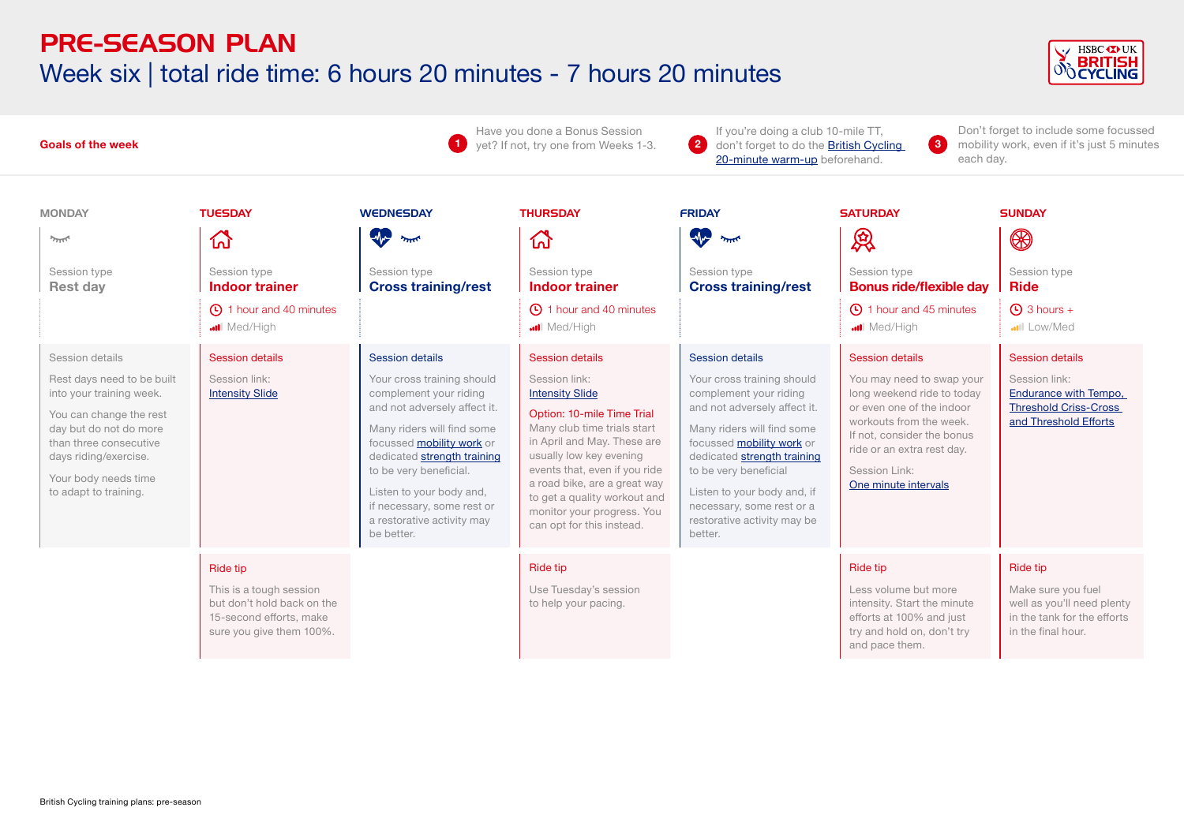#### PRE-SEASON PLAN Week six | total ride time: 6 hours 20 minutes - 7 hours 20 minutes



| $\blacksquare$<br><b>Goals of the week</b>                                                                                                                                                                                         |                                                                                                                          |                                                                                                                                                                                                                                                                                                                                                 | Have you done a Bonus Session<br>yet? If not, try one from Weeks 1-3.                                                                                                                                                                                                                                                                                                    | If you're doing a club 10-mile TT.<br>$\bullet$<br>$\bullet$<br>don't forget to do the <b>British Cycling</b><br>20-minute warm-up beforehand.                                                                                                                                                                                                 |                                                                                                                                                                                                                                                            | Don't forget to include some focussed<br>mobility work, even if it's just 5 minutes<br>each dav.                                                        |  |
|------------------------------------------------------------------------------------------------------------------------------------------------------------------------------------------------------------------------------------|--------------------------------------------------------------------------------------------------------------------------|-------------------------------------------------------------------------------------------------------------------------------------------------------------------------------------------------------------------------------------------------------------------------------------------------------------------------------------------------|--------------------------------------------------------------------------------------------------------------------------------------------------------------------------------------------------------------------------------------------------------------------------------------------------------------------------------------------------------------------------|------------------------------------------------------------------------------------------------------------------------------------------------------------------------------------------------------------------------------------------------------------------------------------------------------------------------------------------------|------------------------------------------------------------------------------------------------------------------------------------------------------------------------------------------------------------------------------------------------------------|---------------------------------------------------------------------------------------------------------------------------------------------------------|--|
| <b>MONDAY</b><br>$\gamma_{\rm TFT}$<br>Session type<br><b>Rest day</b>                                                                                                                                                             | <b>TUESDAY</b><br>伙<br>Session type<br><b>Indoor trainer</b><br>40 minutes                                               | <b>WEDNESDAY</b><br>$\sqrt{2}$<br>$\overline{\phantom{a}}$<br>Session type<br><b>Cross training/rest</b>                                                                                                                                                                                                                                        | <b>THURSDAY</b><br>깑<br>Session type<br><b>Indoor trainer</b><br>40 minutes                                                                                                                                                                                                                                                                                              | <b>FRIDAY</b><br>$\sqrt{2}$<br>يتلللا<br>Session type<br><b>Cross training/rest</b>                                                                                                                                                                                                                                                            | <b>SATURDAY</b><br>恩<br>Session type<br><b>Bonus ride/flexible day</b><br>45 minutes                                                                                                                                                                       | <b>SUNDAY</b><br>$\circledR$<br>Session type<br><b>Ride</b><br>$\bigoplus$ 3 hours +                                                                    |  |
| Session details<br>Rest days need to be built<br>into your training week.<br>You can change the rest<br>day but do not do more<br>than three consecutive<br>days riding/exercise.<br>Your body needs time<br>to adapt to training. | Med/High<br><b>Session details</b><br>Session link:<br><b>Intensity Slide</b>                                            | <b>Session details</b><br>Your cross training should<br>complement your riding<br>and not adversely affect it.<br>Many riders will find some<br>focussed <b>mobility work</b> or<br>dedicated strength training<br>to be very beneficial.<br>Listen to your body and,<br>if necessary, some rest or<br>a restorative activity may<br>be better. | <b></b> Med/High<br><b>Session details</b><br>Session link:<br><b>Intensity Slide</b><br>Option: 10-mile Time Trial<br>Many club time trials start<br>in April and May. These are<br>usually low key evening<br>events that, even if you ride<br>a road bike, are a great way<br>to get a quality workout and<br>monitor your progress. You<br>can opt for this instead. | <b>Session details</b><br>Your cross training should<br>complement your riding<br>and not adversely affect it.<br>Many riders will find some<br>focussed <b>mobility work</b> or<br>dedicated strength training<br>to be very beneficial<br>Listen to your body and, if<br>necessary, some rest or a<br>restorative activity may be<br>better. | Med/High<br><b>Session details</b><br>You may need to swap your<br>long weekend ride to today<br>or even one of the indoor<br>workouts from the week.<br>If not, consider the bonus<br>ride or an extra rest day.<br>Session Link:<br>One minute intervals | <b></b> III Low/Med<br><b>Session details</b><br>Session link:<br><b>Endurance with Tempo,</b><br><b>Threshold Criss-Cross</b><br>and Threshold Efforts |  |
|                                                                                                                                                                                                                                    | Ride tip<br>This is a tough session<br>but don't hold back on the<br>15-second efforts, make<br>sure you give them 100%. |                                                                                                                                                                                                                                                                                                                                                 | <b>Ride tip</b><br>Use Tuesday's session<br>to help your pacing.                                                                                                                                                                                                                                                                                                         |                                                                                                                                                                                                                                                                                                                                                | <b>Ride tip</b><br>Less volume but more<br>intensity. Start the minute<br>efforts at 100% and just<br>try and hold on, don't try<br>and pace them.                                                                                                         | Ride tip<br>Make sure you fuel<br>well as you'll need plenty<br>in the tank for the efforts<br>in the final hour.                                       |  |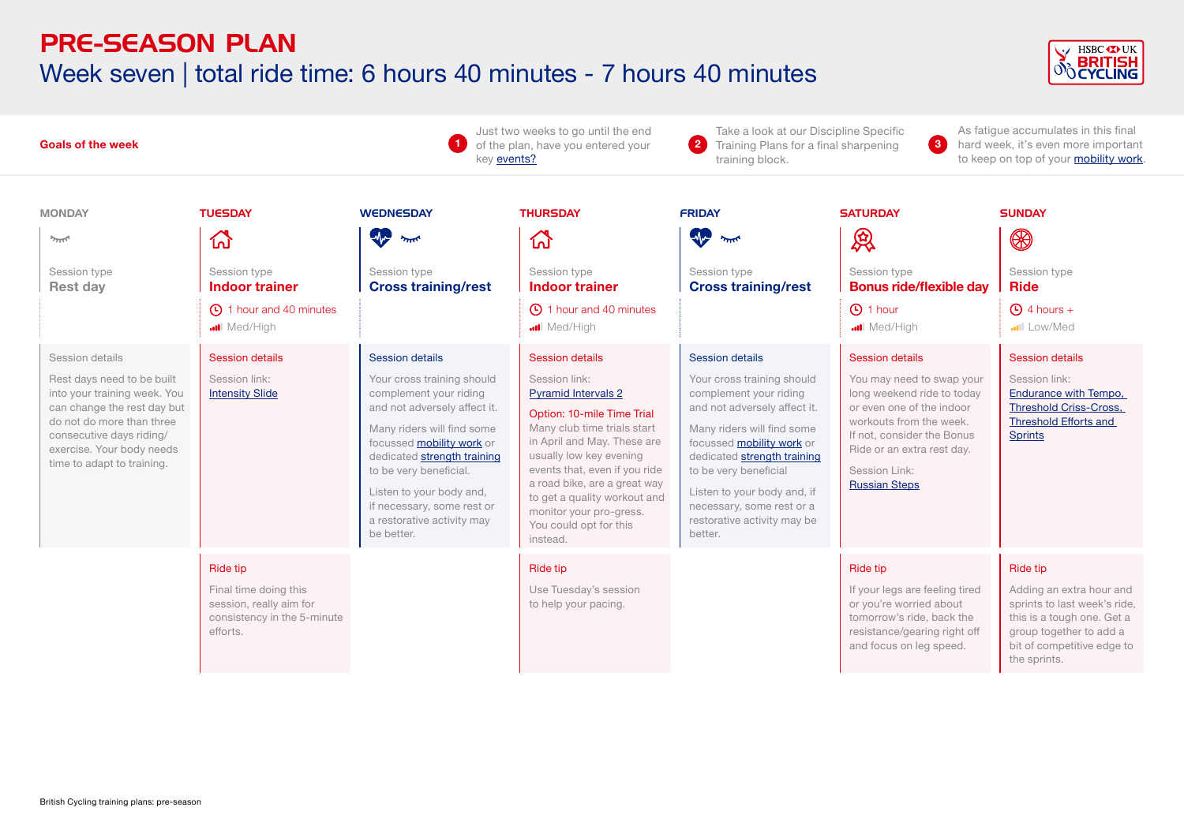### PRE-SEASON PLAN Week seven | total ride time: 6 hours 40 minutes - 7 hours 40 minutes



| <b>Goals of the week</b><br>-1                                                                                                                                                                                                   |                                                                                                                |                                                                                                                                                                                                                                                                                                                                          | Just two weeks to go until the end<br>of the plan, have you entered your<br>key events?                                                                                                                                                                                                                                                                                            | Take a look at our Discipline Specific<br>3<br>$\bullet$<br>Training Plans for a final sharpening<br>training block.                                                                                                                                                                                                                           |                                                                                                                                                                                                                                                            | As fatigue accumulates in this final<br>hard week, it's even more important<br>to keep on top of your mobility work.                                                        |  |
|----------------------------------------------------------------------------------------------------------------------------------------------------------------------------------------------------------------------------------|----------------------------------------------------------------------------------------------------------------|------------------------------------------------------------------------------------------------------------------------------------------------------------------------------------------------------------------------------------------------------------------------------------------------------------------------------------------|------------------------------------------------------------------------------------------------------------------------------------------------------------------------------------------------------------------------------------------------------------------------------------------------------------------------------------------------------------------------------------|------------------------------------------------------------------------------------------------------------------------------------------------------------------------------------------------------------------------------------------------------------------------------------------------------------------------------------------------|------------------------------------------------------------------------------------------------------------------------------------------------------------------------------------------------------------------------------------------------------------|-----------------------------------------------------------------------------------------------------------------------------------------------------------------------------|--|
| <b>MONDAY</b><br>يمللو<br>Session type<br><b>Rest day</b>                                                                                                                                                                        | <b>TUESDAY</b><br>砎<br>Session type<br><b>Indoor trainer</b><br>40 minutes                                     | <b>WEDNESDAY</b><br><b>The sure</b><br>Session type<br><b>Cross training/rest</b>                                                                                                                                                                                                                                                        | <b>THURSDAY</b><br>산<br>Session type<br><b>Indoor trainer</b><br><b>40</b> 1 hour and 40 minutes                                                                                                                                                                                                                                                                                   | <b>FRIDAY</b><br>me me<br>Session type<br><b>Cross training/rest</b>                                                                                                                                                                                                                                                                           | <b>SATURDAY</b><br>恩<br>Session type<br><b>Bonus ride/flexible day</b><br><b>1</b> hour                                                                                                                                                                    | <b>SUNDAY</b><br>$\circledR$<br>Session type<br><b>Ride</b><br>$\bigoplus$ 4 hours +                                                                                        |  |
| Session details<br>Rest days need to be built<br>into your training week. You<br>can change the rest day but<br>do not do more than three<br>consecutive days riding/<br>exercise. Your body needs<br>time to adapt to training. | <b></b> Med/High<br><b>Session details</b><br>Session link:<br><b>Intensity Slide</b>                          | Session details<br>Your cross training should<br>complement your riding<br>and not adversely affect it.<br>Many riders will find some<br>focussed <b>mobility work</b> or<br>dedicated strength training<br>to be very beneficial.<br>Listen to your body and,<br>if necessary, some rest or<br>a restorative activity may<br>be better. | <b></b> Med/High<br><b>Session details</b><br>Session link:<br><b>Pyramid Intervals 2</b><br>Option: 10-mile Time Trial<br>Many club time trials start<br>in April and May. These are<br>usually low key evening<br>events that, even if you ride<br>a road bike, are a great way<br>to get a quality workout and<br>monitor your pro-gress.<br>You could opt for this<br>instead. | <b>Session details</b><br>Your cross training should<br>complement your riding<br>and not adversely affect it.<br>Many riders will find some<br>focussed <b>mobility work</b> or<br>dedicated strength training<br>to be very beneficial<br>Listen to your body and, if<br>necessary, some rest or a<br>restorative activity may be<br>better. | Med/High<br><b>Session details</b><br>You may need to swap your<br>long weekend ride to today<br>or even one of the indoor<br>workouts from the week.<br>If not, consider the Bonus<br>Ride or an extra rest day.<br>Session Link:<br><b>Russian Steps</b> | Low/Med<br><b>Session details</b><br>Session link:<br>Endurance with Tempo,<br><b>Threshold Criss-Cross,</b><br><b>Threshold Efforts and</b><br><b>Sprints</b>              |  |
|                                                                                                                                                                                                                                  | <b>Ride tip</b><br>Final time doing this<br>session, really aim for<br>consistency in the 5-minute<br>efforts. |                                                                                                                                                                                                                                                                                                                                          | <b>Ride tip</b><br>Use Tuesday's session<br>to help your pacing.                                                                                                                                                                                                                                                                                                                   |                                                                                                                                                                                                                                                                                                                                                | Ride tip<br>If your legs are feeling tired<br>or you're worried about<br>tomorrow's ride, back the<br>resistance/gearing right off<br>and focus on leg speed.                                                                                              | Ride tip<br>Adding an extra hour and<br>sprints to last week's ride,<br>this is a tough one. Get a<br>group together to add a<br>bit of competitive edge to<br>the sprints. |  |